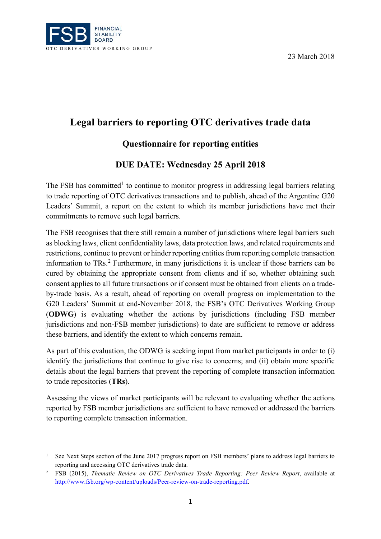

-

23 March 2018

# **Legal barriers to reporting OTC derivatives trade data**

## **Questionnaire for reporting entities**

## **DUE DATE: Wednesday 25 April 2018**

The FSB has committed<sup>[1](#page-0-0)</sup> to continue to monitor progress in addressing legal barriers relating to trade reporting of OTC derivatives transactions and to publish, ahead of the Argentine G20 Leaders' Summit, a report on the extent to which its member jurisdictions have met their commitments to remove such legal barriers.

The FSB recognises that there still remain a number of jurisdictions where legal barriers such as blocking laws, client confidentiality laws, data protection laws, and related requirements and restrictions, continue to prevent or hinder reporting entities from reporting complete transaction information to TRs.[2](#page-0-1) Furthermore, in many jurisdictions it is unclear if those barriers can be cured by obtaining the appropriate consent from clients and if so, whether obtaining such consent applies to all future transactions or if consent must be obtained from clients on a tradeby-trade basis. As a result, ahead of reporting on overall progress on implementation to the G20 Leaders' Summit at end-November 2018, the FSB's OTC Derivatives Working Group (**ODWG**) is evaluating whether the actions by jurisdictions (including FSB member jurisdictions and non-FSB member jurisdictions) to date are sufficient to remove or address these barriers, and identify the extent to which concerns remain.

As part of this evaluation, the ODWG is seeking input from market participants in order to (i) identify the jurisdictions that continue to give rise to concerns; and (ii) obtain more specific details about the legal barriers that prevent the reporting of complete transaction information to trade repositories (**TRs**).

Assessing the views of market participants will be relevant to evaluating whether the actions reported by FSB member jurisdictions are sufficient to have removed or addressed the barriers to reporting complete transaction information.

<span id="page-0-0"></span><sup>&</sup>lt;sup>1</sup> See Next Steps section of the June 2017 progress report on FSB members' plans to address legal barriers to reporting and accessing OTC derivatives trade data.

<span id="page-0-1"></span><sup>2</sup> FSB (2015), *Thematic Review on OTC Derivatives Trade Reporting: Peer Review Report*, available at [http://www.fsb.org/wp-content/uploads/Peer-review-on-trade-reporting.pdf.](http://www.fsb.org/wp-content/uploads/Peer-review-on-trade-reporting.pdf)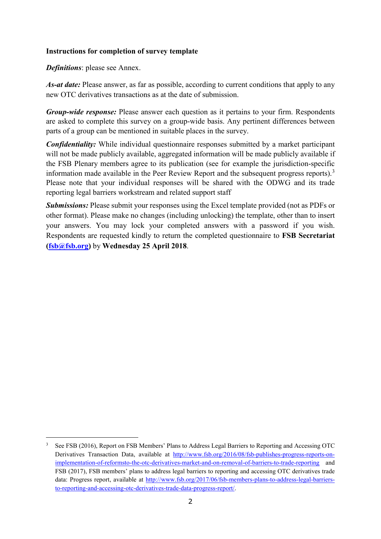#### **Instructions for completion of survey template**

*Definitions*: please see Annex.

-

*As-at date:* Please answer, as far as possible, according to current conditions that apply to any new OTC derivatives transactions as at the date of submission.

*Group-wide response:* Please answer each question as it pertains to your firm. Respondents are asked to complete this survey on a group-wide basis. Any pertinent differences between parts of a group can be mentioned in suitable places in the survey.

*Confidentiality:* While individual questionnaire responses submitted by a market participant will not be made publicly available, aggregated information will be made publicly available if the FSB Plenary members agree to its publication (see for example the jurisdiction-specific information made available in the Peer Review Report and the subsequent progress reports).<sup>[3](#page-1-0)</sup> Please note that your individual responses will be shared with the ODWG and its trade reporting legal barriers workstream and related support staff

*Submissions:* Please submit your responses using the Excel template provided (not as PDFs or other format). Please make no changes (including unlocking) the template, other than to insert your answers. You may lock your completed answers with a password if you wish. Respondents are requested kindly to return the completed questionnaire to **FSB Secretariat [\(fsb@fsb.org\)](mailto:fsb@fsb.org)** by **Wednesday 25 April 2018**.

<span id="page-1-0"></span><sup>3</sup> See FSB (2016), Report on FSB Members' Plans to Address Legal Barriers to Reporting and Accessing OTC Derivatives Transaction Data, available at [http://www.fsb.org/2016/08/fsb-publishes-progress-reports-on](http://www.fsb.org/2016/08/fsb-publishes-progress-reports-on-implementation-of-reformsto-the-otc-derivatives-market-and-on-removal-of-barriers-to-trade-reporting)[implementation-of-reformsto-the-otc-derivatives-market-and-on-removal-of-barriers-to-trade-reporting](http://www.fsb.org/2016/08/fsb-publishes-progress-reports-on-implementation-of-reformsto-the-otc-derivatives-market-and-on-removal-of-barriers-to-trade-reporting) and FSB (2017), FSB members' plans to address legal barriers to reporting and accessing OTC derivatives trade data: Progress report, available at [http://www.fsb.org/2017/06/fsb-members-plans-to-address-legal-barriers](http://www.fsb.org/2017/06/fsb-members-plans-to-address-legal-barriers-to-reporting-and-accessing-otc-derivatives-trade-data-progress-report/)[to-reporting-and-accessing-otc-derivatives-trade-data-progress-report/.](http://www.fsb.org/2017/06/fsb-members-plans-to-address-legal-barriers-to-reporting-and-accessing-otc-derivatives-trade-data-progress-report/)